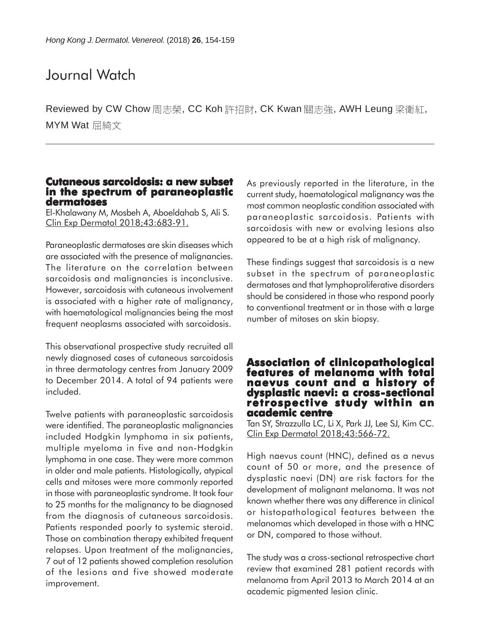# Journal Watch

Reviewed by CW Chow 周志榮, CC Koh 許招財, CK Kwan 關志強, AWH Leung 梁衛紅, MYM Wat 屈綺文

### **Cutaneous sarcoidosis: a new subset sarcoidosis: a new in the spectrum of paraneoplastic dermatoses**

El-Khalawany M, Mosbeh A, Aboeldahab S, Ali S. Clin Exp Dermatol 2018;43:683-91.

Paraneoplastic dermatoses are skin diseases which are associated with the presence of malignancies. The literature on the correlation between sarcoidosis and malignancies is inconclusive. However, sarcoidosis with cutaneous involvement is associated with a higher rate of malignancy, with haematological malignancies being the most frequent neoplasms associated with sarcoidosis.

This observational prospective study recruited all newly diagnosed cases of cutaneous sarcoidosis in three dermatology centres from January 2009 to December 2014. A total of 94 patients were included.

Twelve patients with paraneoplastic sarcoidosis were identified. The paraneoplastic malignancies included Hodgkin lymphoma in six patients, multiple myeloma in five and non-Hodgkin lymphoma in one case. They were more common in older and male patients. Histologically, atypical cells and mitoses were more commonly reported in those with paraneoplastic syndrome. It took four to 25 months for the malignancy to be diagnosed from the diagnosis of cutaneous sarcoidosis. Patients responded poorly to systemic steroid. Those on combination therapy exhibited frequent relapses. Upon treatment of the malignancies, 7 out of 12 patients showed completion resolution of the lesions and five showed moderate improvement.

As previously reported in the literature, in the current study, haematological malignancy was the most common neoplastic condition associated with paraneoplastic sarcoidosis. Patients with sarcoidosis with new or evolving lesions also appeared to be at a high risk of malignancy.

These findings suggest that sarcoidosis is a new subset in the spectrum of paraneoplastic dermatoses and that lymphoproliferative disorders should be considered in those who respond poorly to conventional treatment or in those with a large number of mitoses on skin biopsy.

### **Association of clinicopathological Association of clinicopathological features of melanoma with total of total naevus count and a history of naevus a history of dysplastic naevi: a cross-sectional sectional retrospective study within an academic centre**

Tan SY, Strazzulla LC, Li X, Park JJ, Lee SJ, Kim CC. Clin Exp Dermatol 2018;43:566-72.

High naevus count (HNC), defined as a nevus count of 50 or more, and the presence of dysplastic naevi (DN) are risk factors for the development of malignant melanoma. It was not known whether there was any difference in clinical or histopathological features between the melanomas which developed in those with a HNC or DN, compared to those without.

The study was a cross-sectional retrospective chart review that examined 281 patient records with melanoma from April 2013 to March 2014 at an academic pigmented lesion clinic.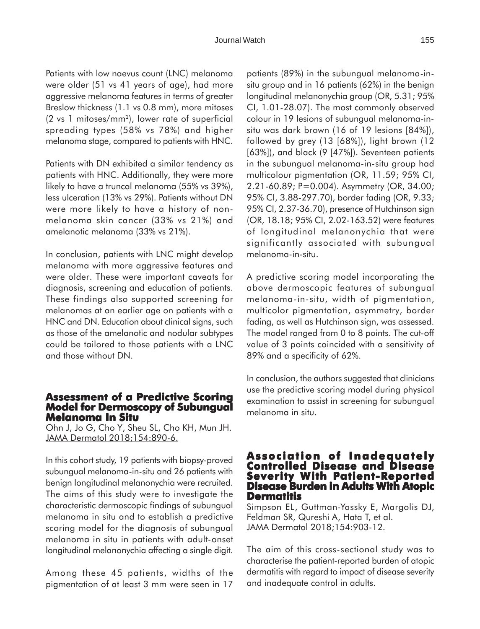Patients with low naevus count (LNC) melanoma were older (51 vs 41 years of age), had more aggressive melanoma features in terms of greater Breslow thickness (1.1 vs 0.8 mm), more mitoses (2 vs 1 mitoses/mm2), lower rate of superficial spreading types (58% vs 78%) and higher melanoma stage, compared to patients with HNC.

Patients with DN exhibited a similar tendency as patients with HNC. Additionally, they were more likely to have a truncal melanoma (55% vs 39%), less ulceration (13% vs 29%). Patients without DN were more likely to have a history of nonmelanoma skin cancer (33% vs 21%) and amelanotic melanoma (33% vs 21%).

In conclusion, patients with LNC might develop melanoma with more aggressive features and were older. These were important caveats for diagnosis, screening and education of patients. These findings also supported screening for melanomas at an earlier age on patients with a HNC and DN. Education about clinical signs, such as those of the amelanotic and nodular subtypes could be tailored to those patients with a LNC and those without DN.

### **Assessment of a Predictive Scoring Model for Dermoscopy of Subungual Model for Dermoscopy of Melanoma In Situ**

Ohn J, Jo G, Cho Y, Sheu SL, Cho KH, Mun JH. JAMA Dermatol 2018;154:890-6.

In this cohort study, 19 patients with biopsy-proved subungual melanoma-in-situ and 26 patients with benign longitudinal melanonychia were recruited. The aims of this study were to investigate the characteristic dermoscopic findings of subungual melanoma in situ and to establish a predictive scoring model for the diagnosis of subungual melanoma in situ in patients with adult-onset longitudinal melanonychia affecting a single digit.

Among these 45 patients, widths of the pigmentation of at least 3 mm were seen in 17 patients (89%) in the subungual melanoma-insitu group and in 16 patients (62%) in the benign longitudinal melanonychia group (OR, 5.31; 95% CI, 1.01-28.07). The most commonly observed colour in 19 lesions of subungual melanoma-insitu was dark brown (16 of 19 lesions [84%]), followed by grey (13 [68%]), light brown (12 [63%]), and black (9 [47%]). Seventeen patients in the subungual melanoma-in-situ group had multicolour pigmentation (OR, 11.59; 95% CI, 2.21-60.89; P=0.004). Asymmetry (OR, 34.00; 95% CI, 3.88-297.70), border fading (OR, 9.33; 95% CI, 2.37-36.70), presence of Hutchinson sign (OR, 18.18; 95% CI, 2.02-163.52) were features of longitudinal melanonychia that were significantly associated with subungual melanoma-in-situ.

A predictive scoring model incorporating the above dermoscopic features of subungual melanoma-in-situ, width of pigmentation, multicolor pigmentation, asymmetry, border fading, as well as Hutchinson sign, was assessed. The model ranged from 0 to 8 points. The cut-off value of 3 points coincided with a sensitivity of 89% and a specificity of 62%.

In conclusion, the authors suggested that clinicians use the predictive scoring model during physical examination to assist in screening for subungual melanoma in situ.

## **Association of Inadequately Controlled Disease and Disease Disease Burden in Adults With Atopic Dermatitis**

Simpson EL, Guttman-Yassky E, Margolis DJ, Feldman SR, Qureshi A, Hata T, et al. JAMA Dermatol 2018;154:903-12.

The aim of this cross-sectional study was to characterise the patient-reported burden of atopic dermatitis with regard to impact of disease severity and inadequate control in adults.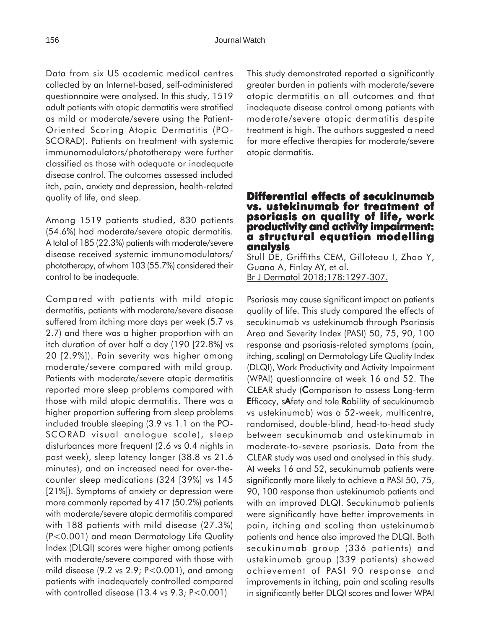Data from six US academic medical centres collected by an Internet-based, self-administered questionnaire were analysed. In this study, 1519 adult patients with atopic dermatitis were stratified as mild or moderate/severe using the Patient-Oriented Scoring Atopic Dermatitis (PO-SCORAD). Patients on treatment with systemic immunomodulators/phototherapy were further classified as those with adequate or inadequate disease control. The outcomes assessed included itch, pain, anxiety and depression, health-related quality of life, and sleep.

Among 1519 patients studied, 830 patients (54.6%) had moderate/severe atopic dermatitis. A total of 185 (22.3%) patients with moderate/severe disease received systemic immunomodulators/ phototherapy, of whom 103 (55.7%) considered their control to be inadequate.

Compared with patients with mild atopic dermatitis, patients with moderate/severe disease suffered from itching more days per week (5.7 vs 2.7) and there was a higher proportion with an itch duration of over half a day (190 [22.8%] vs 20 [2.9%]). Pain severity was higher among moderate/severe compared with mild group. Patients with moderate/severe atopic dermatitis reported more sleep problems compared with those with mild atopic dermatitis. There was a higher proportion suffering from sleep problems included trouble sleeping (3.9 vs 1.1 on the PO-SCORAD visual analogue scale), sleep disturbances more frequent (2.6 vs 0.4 nights in past week), sleep latency longer (38.8 vs 21.6 minutes), and an increased need for over-thecounter sleep medications (324 [39%] vs 145 [21%]). Symptoms of anxiety or depression were more commonly reported by 417 (50.2%) patients with moderate/severe atopic dermatitis compared with 188 patients with mild disease (27.3%) (P<0.001) and mean Dermatology Life Quality Index (DLQI) scores were higher among patients with moderate/severe compared with those with mild disease  $(9.2 \text{ vs } 2.9; P < 0.001)$ , and among patients with inadequately controlled compared with controlled disease (13.4 vs 9.3; P<0.001)

This study demonstrated reported a significantly greater burden in patients with moderate/severe atopic dermatitis on all outcomes and that inadequate disease control among patients with moderate/severe atopic dermatitis despite treatment is high. The authors suggested a need for more effective therapies for moderate/severe atopic dermatitis.

### **Differential effects of secukinumab vs. ustekinumab for treatment of ustekinumab treatment of psoriasis on quality of life, work productivity and activity impairment: productivity and activity impairment: a structural equation modelling analysis**

Stull DE, Griffiths CEM, Gilloteau I, Zhao Y, Guana A, Finlay AY, et al. Br J Dermatol 2018;178:1297-307.

Psoriasis may cause significant impact on patient's quality of life. This study compared the effects of secukinumab vs ustekinumab through Psoriasis Area and Severity Index (PASI) 50, 75, 90, 100 response and psoriasis-related symptoms (pain, itching, scaling) on Dermatology Life Quality Index (DLQI), Work Productivity and Activity Impairment (WPAI) questionnaire at week 16 and 52. The CLEAR study (Comparison to assess Long-term Efficacy, sAfety and tole Rability of secukinumab vs ustekinumab) was a 52-week, multicentre, randomised, double-blind, head-to-head study between secukinumab and ustekinumab in moderate-to-severe psoriasis. Data from the CLEAR study was used and analysed in this study. At weeks 16 and 52, secukinumab patients were significantly more likely to achieve a PASI 50, 75, 90, 100 response than ustekinumab patients and with an improved DLQI. Secukinumab patients were significantly have better improvements in pain, itching and scaling than ustekinumab patients and hence also improved the DLQI. Both secukinumab group (336 patients) and ustekinumab group (339 patients) showed achievement of PASI 90 response and improvements in itching, pain and scaling results in significantly better DLQI scores and lower WPAI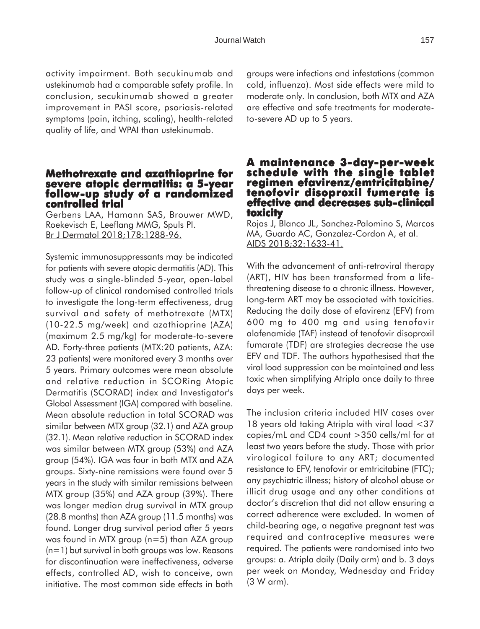activity impairment. Both secukinumab and ustekinumab had a comparable safety profile. In conclusion, secukinumab showed a greater improvement in PASI score, psoriasis-related symptoms (pain, itching, scaling), health-related quality of life, and WPAI than ustekinumab.

# **Methotrexate and azathioprine for severe atopic dermatitis: a 5-year follow-up study of a randomized controlled trial controlled trial**

Gerbens LAA, Hamann SAS, Brouwer MWD, Roekevisch E, Leeflang MMG, Spuls PI. Br J Dermatol 2018;178:1288-96.

Systemic immunosuppressants may be indicated for patients with severe atopic dermatitis (AD). This study was a single-blinded 5-year, open-label follow-up of clinical randomised controlled trials to investigate the long-term effectiveness, drug survival and safety of methotrexate (MTX) (10-22.5 mg/week) and azathioprine (AZA) (maximum 2.5 mg/kg) for moderate-to-severe AD. Forty-three patients (MTX:20 patients, AZA: 23 patients) were monitored every 3 months over 5 years. Primary outcomes were mean absolute and relative reduction in SCORing Atopic Dermatitis (SCORAD) index and Investigator's Global Assessment (IGA) compared with baseline. Mean absolute reduction in total SCORAD was similar between MTX group (32.1) and AZA group (32.1). Mean relative reduction in SCORAD index was similar between MTX group (53%) and AZA group (54%). IGA was four in both MTX and AZA groups. Sixty-nine remissions were found over 5 years in the study with similar remissions between MTX group (35%) and AZA group (39%). There was longer median drug survival in MTX group (28.8 months) than AZA group (11.5 months) was found. Longer drug survival period after 5 years was found in MTX group (n=5) than AZA group (n=1) but survival in both groups was low. Reasons for discontinuation were ineffectiveness, adverse effects, controlled AD, wish to conceive, own initiative. The most common side effects in both

groups were infections and infestations (common cold, influenza). Most side effects were mild to moderate only. In conclusion, both MTX and AZA are effective and safe treatments for moderateto-severe AD up to 5 years.

### **A maintenance 3-day-per-week schedule with the single tablet schedule the single tablet regimen efavirenz/emtricitabine/ tenofovir disoproxil fumerate is effective and decreases sub-clinical clinical toxicity**

Rojas J, Blanco JL, Sanchez-Palomino S, Marcos MA, Guardo AC, Gonzalez-Cordon A, et al. AIDS 2018;32:1633-41.

With the advancement of anti-retroviral therapy (ART), HIV has been transformed from a lifethreatening disease to a chronic illness. However, long-term ART may be associated with toxicities. Reducing the daily dose of efavirenz (EFV) from 600 mg to 400 mg and using tenofovir alafenamide (TAF) instead of tenofovir disoproxil fumarate (TDF) are strategies decrease the use EFV and TDF. The authors hypothesised that the viral load suppression can be maintained and less toxic when simplifying Atripla once daily to three days per week.

The inclusion criteria included HIV cases over 18 years old taking Atripla with viral load <37 copies/mL and CD4 count >350 cells/ml for at least two years before the study. Those with prior virological failure to any ART; documented resistance to EFV, tenofovir or emtricitabine (FTC); any psychiatric illness; history of alcohol abuse or illicit drug usage and any other conditions at doctor's discretion that did not allow ensuring a correct adherence were excluded. In women of child-bearing age, a negative pregnant test was required and contraceptive measures were required. The patients were randomised into two groups: a. Atripla daily (Daily arm) and b. 3 days per week on Monday, Wednesday and Friday (3 W arm).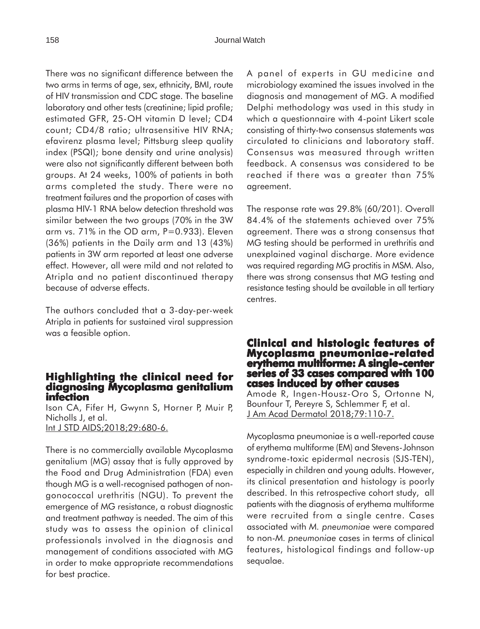There was no significant difference between the two arms in terms of age, sex, ethnicity, BMI, route of HIV transmission and CDC stage. The baseline laboratory and other tests (creatinine; lipid profile; estimated GFR, 25-OH vitamin D level; CD4 count; CD4/8 ratio; ultrasensitive HIV RNA; efavirenz plasma level; Pittsburg sleep quality index (PSQI); bone density and urine analysis) were also not significantly different between both groups. At 24 weeks, 100% of patients in both arms completed the study. There were no treatment failures and the proportion of cases with plasma HIV-1 RNA below detection threshold was similar between the two groups (70% in the 3W arm vs. 71% in the OD arm, P=0.933). Eleven (36%) patients in the Daily arm and 13 (43%) patients in 3W arm reported at least one adverse effect. However, all were mild and not related to Atripla and no patient discontinued therapy because of adverse effects.

The authors concluded that a 3-day-per-week Atripla in patients for sustained viral suppression was a feasible option.

### **Highlighting the clinical need for diagnosing Mycoplasma genitalium infection**

Ison CA, Fifer H, Gwynn S, Horner P, Muir P, Nicholls J, et al. Int J STD AIDS;2018;29:680-6.

There is no commercially available Mycoplasma genitalium (MG) assay that is fully approved by the Food and Drug Administration (FDA) even though MG is a well-recognised pathogen of nongonococcal urethritis (NGU). To prevent the emergence of MG resistance, a robust diagnostic and treatment pathway is needed. The aim of this study was to assess the opinion of clinical professionals involved in the diagnosis and management of conditions associated with MG in order to make appropriate recommendations for best practice.

A panel of experts in GU medicine and microbiology examined the issues involved in the diagnosis and management of MG. A modified Delphi methodology was used in this study in which a questionnaire with 4-point Likert scale consisting of thirty-two consensus statements was circulated to clinicians and laboratory staff. Consensus was measured through written feedback. A consensus was considered to be reached if there was a greater than 75% agreement.

The response rate was 29.8% (60/201). Overall 84.4% of the statements achieved over 75% agreement. There was a strong consensus that MG testing should be performed in urethritis and unexplained vaginal discharge. More evidence was required regarding MG proctitis in MSM. Also, there was strong consensus that MG testing and resistance testing should be available in all tertiary centres.

### **Clinical and histologic features of and histologic of Mycoplasma pneumoniae-related erythema multiforme: A single-center series of 33 cases compared with 100 cases induced by other causes**

Amode R, Ingen-Housz-Oro S, Ortonne N, Bounfour T, Pereyre S, Schlemmer F, et al. J Am Acad Dermatol 2018;79:110-7.

Mycoplasma pneumoniae is a well-reported cause of erythema multiforme (EM) and Stevens-Johnson syndrome-toxic epidermal necrosis (SJS-TEN), especially in children and young adults. However, its clinical presentation and histology is poorly described. In this retrospective cohort study, all patients with the diagnosis of erythema multiforme were recruited from a single centre. Cases associated with *M. pneumoniae* were compared to non-*M. pneumoniae* cases in terms of clinical features, histological findings and follow-up sequalae.